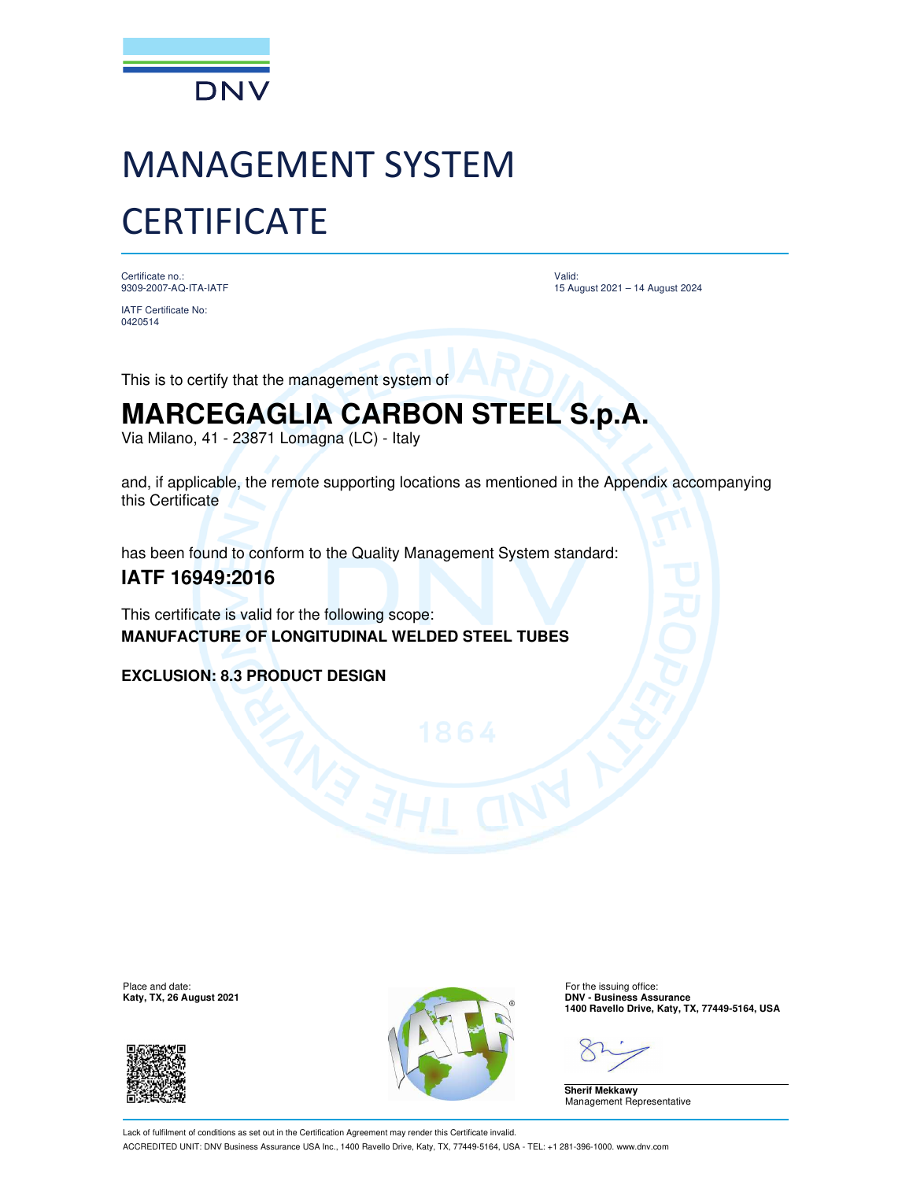

# MANAGEMENT SYSTEM **CERTIFICATE**

Certificate no.: 9309-2007-AQ-ITA-IATF

IATF Certificate No: 0420514

Valid: 15 August 2021 – 14 August 2024

This is to certify that the management system of

## **MARCEGAGLIA CARBON STEEL S.p.A.**

Via Milano, 41 - 23871 Lomagna (LC) - Italy

and, if applicable, the remote supporting locations as mentioned in the Appendix accompanying this Certificate

has been found to conform to the Quality Management System standard:

### **IATF 16949:2016**

This certificate is valid for the following scope: **MANUFACTURE OF LONGITUDINAL WELDED STEEL TUBES**

**EXCLUSION: 8.3 PRODUCT DESIGN**

**Katy, TX, 26 August 2021** 





**1400 Ravello Drive, Katy, TX, 77449-5164, USA**

**Sherif Mekkawy** Management Representative

Lack of fulfilment of conditions as set out in the Certification Agreement may render this Certificate invalid. ACCREDITED UNIT: DNV Business Assurance USA Inc., 1400 Ravello Drive, Katy, TX, 77449-5164, USA - TEL: +1 281-396-1000. www.dnv.com